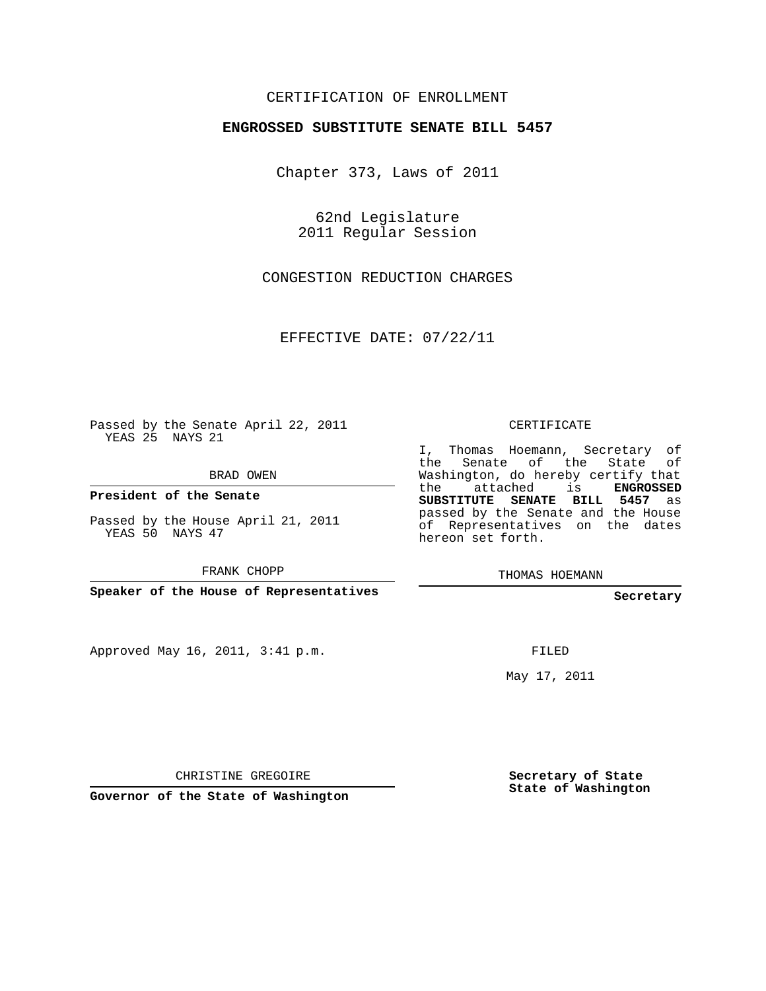## CERTIFICATION OF ENROLLMENT

### **ENGROSSED SUBSTITUTE SENATE BILL 5457**

Chapter 373, Laws of 2011

62nd Legislature 2011 Regular Session

CONGESTION REDUCTION CHARGES

EFFECTIVE DATE: 07/22/11

Passed by the Senate April 22, 2011 YEAS 25 NAYS 21

BRAD OWEN

**President of the Senate**

Passed by the House April 21, 2011 YEAS 50 NAYS 47

FRANK CHOPP

**Speaker of the House of Representatives**

Approved May 16, 2011, 3:41 p.m.

CERTIFICATE

I, Thomas Hoemann, Secretary of the Senate of the State of Washington, do hereby certify that the attached is **ENGROSSED SUBSTITUTE SENATE BILL 5457** as passed by the Senate and the House of Representatives on the dates hereon set forth.

THOMAS HOEMANN

#### **Secretary**

FILED

May 17, 2011

CHRISTINE GREGOIRE

**Governor of the State of Washington**

**Secretary of State State of Washington**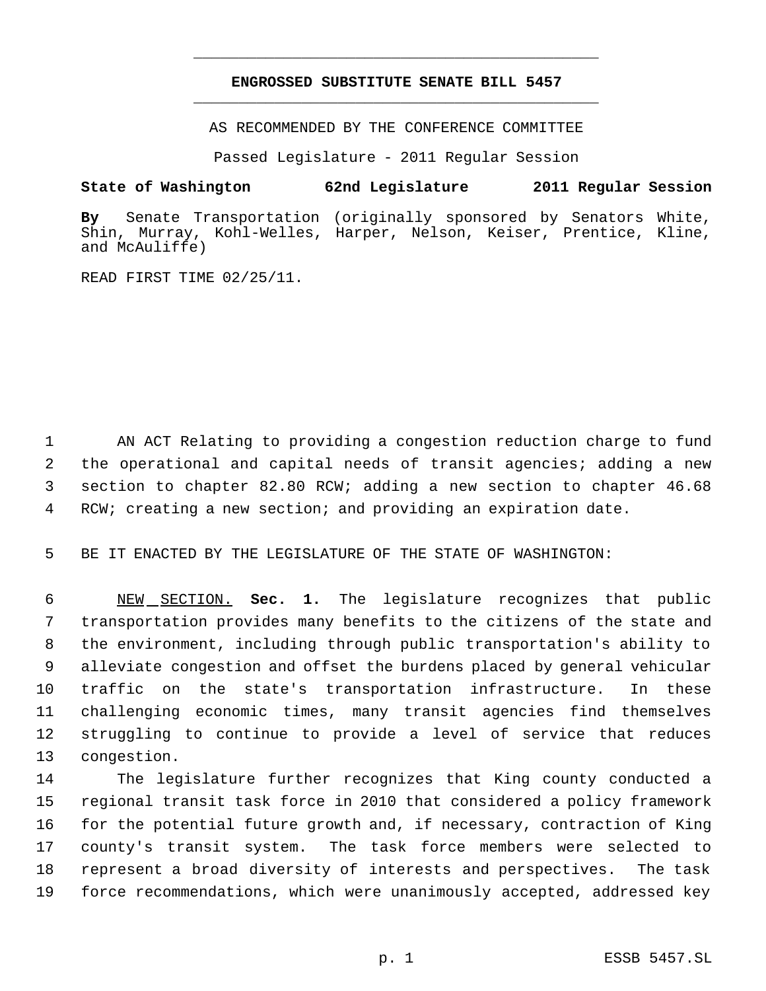# **ENGROSSED SUBSTITUTE SENATE BILL 5457** \_\_\_\_\_\_\_\_\_\_\_\_\_\_\_\_\_\_\_\_\_\_\_\_\_\_\_\_\_\_\_\_\_\_\_\_\_\_\_\_\_\_\_\_\_

\_\_\_\_\_\_\_\_\_\_\_\_\_\_\_\_\_\_\_\_\_\_\_\_\_\_\_\_\_\_\_\_\_\_\_\_\_\_\_\_\_\_\_\_\_

AS RECOMMENDED BY THE CONFERENCE COMMITTEE

Passed Legislature - 2011 Regular Session

## **State of Washington 62nd Legislature 2011 Regular Session**

**By** Senate Transportation (originally sponsored by Senators White, Shin, Murray, Kohl-Welles, Harper, Nelson, Keiser, Prentice, Kline, and McAuliffe)

READ FIRST TIME 02/25/11.

 AN ACT Relating to providing a congestion reduction charge to fund the operational and capital needs of transit agencies; adding a new section to chapter 82.80 RCW; adding a new section to chapter 46.68 RCW; creating a new section; and providing an expiration date.

BE IT ENACTED BY THE LEGISLATURE OF THE STATE OF WASHINGTON:

 NEW SECTION. **Sec. 1.** The legislature recognizes that public transportation provides many benefits to the citizens of the state and the environment, including through public transportation's ability to alleviate congestion and offset the burdens placed by general vehicular traffic on the state's transportation infrastructure. In these challenging economic times, many transit agencies find themselves struggling to continue to provide a level of service that reduces congestion.

 The legislature further recognizes that King county conducted a regional transit task force in 2010 that considered a policy framework for the potential future growth and, if necessary, contraction of King county's transit system. The task force members were selected to represent a broad diversity of interests and perspectives. The task force recommendations, which were unanimously accepted, addressed key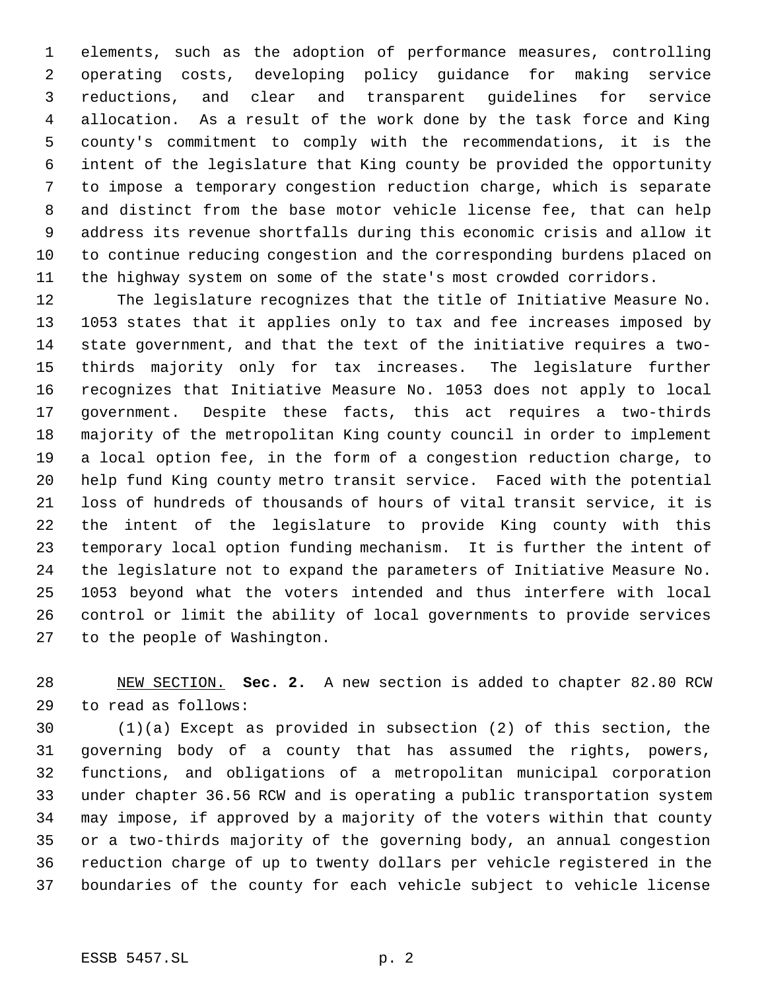elements, such as the adoption of performance measures, controlling operating costs, developing policy guidance for making service reductions, and clear and transparent guidelines for service allocation. As a result of the work done by the task force and King county's commitment to comply with the recommendations, it is the intent of the legislature that King county be provided the opportunity to impose a temporary congestion reduction charge, which is separate and distinct from the base motor vehicle license fee, that can help address its revenue shortfalls during this economic crisis and allow it to continue reducing congestion and the corresponding burdens placed on the highway system on some of the state's most crowded corridors.

 The legislature recognizes that the title of Initiative Measure No. 1053 states that it applies only to tax and fee increases imposed by state government, and that the text of the initiative requires a two- thirds majority only for tax increases. The legislature further recognizes that Initiative Measure No. 1053 does not apply to local government. Despite these facts, this act requires a two-thirds majority of the metropolitan King county council in order to implement a local option fee, in the form of a congestion reduction charge, to help fund King county metro transit service. Faced with the potential loss of hundreds of thousands of hours of vital transit service, it is the intent of the legislature to provide King county with this temporary local option funding mechanism. It is further the intent of the legislature not to expand the parameters of Initiative Measure No. 1053 beyond what the voters intended and thus interfere with local control or limit the ability of local governments to provide services to the people of Washington.

 NEW SECTION. **Sec. 2.** A new section is added to chapter 82.80 RCW to read as follows:

 (1)(a) Except as provided in subsection (2) of this section, the governing body of a county that has assumed the rights, powers, functions, and obligations of a metropolitan municipal corporation under chapter 36.56 RCW and is operating a public transportation system may impose, if approved by a majority of the voters within that county or a two-thirds majority of the governing body, an annual congestion reduction charge of up to twenty dollars per vehicle registered in the boundaries of the county for each vehicle subject to vehicle license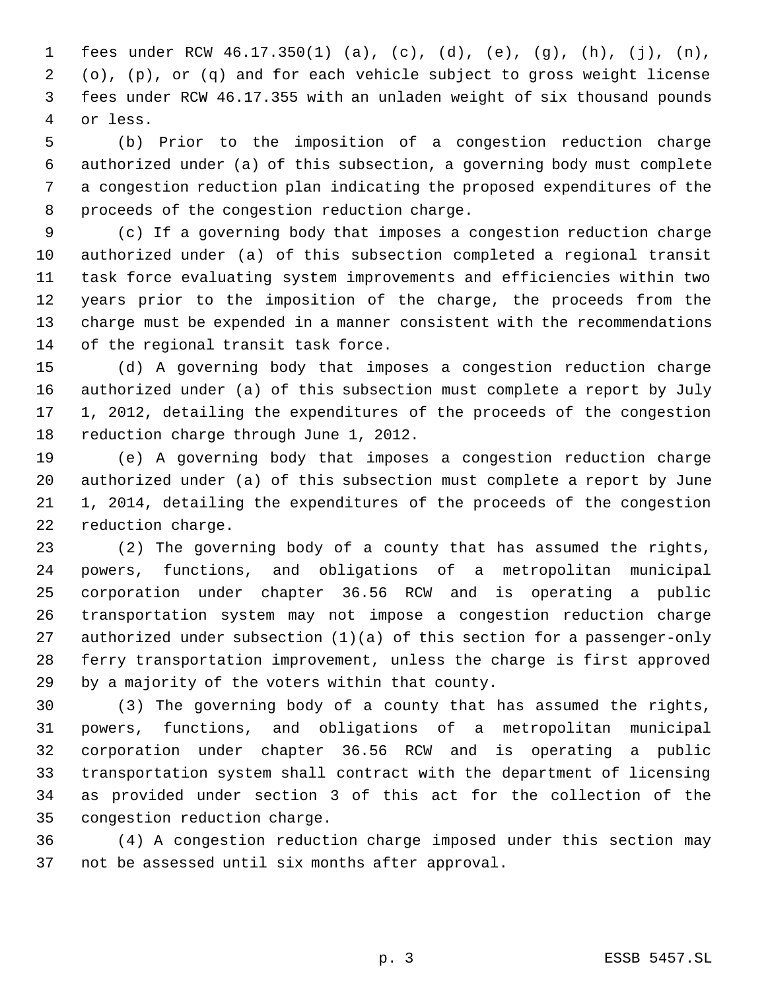fees under RCW 46.17.350(1) (a), (c), (d), (e), (g), (h), (j), (n), (o), (p), or (q) and for each vehicle subject to gross weight license fees under RCW 46.17.355 with an unladen weight of six thousand pounds or less.

 (b) Prior to the imposition of a congestion reduction charge authorized under (a) of this subsection, a governing body must complete a congestion reduction plan indicating the proposed expenditures of the proceeds of the congestion reduction charge.

 (c) If a governing body that imposes a congestion reduction charge authorized under (a) of this subsection completed a regional transit task force evaluating system improvements and efficiencies within two years prior to the imposition of the charge, the proceeds from the charge must be expended in a manner consistent with the recommendations of the regional transit task force.

 (d) A governing body that imposes a congestion reduction charge authorized under (a) of this subsection must complete a report by July 1, 2012, detailing the expenditures of the proceeds of the congestion reduction charge through June 1, 2012.

 (e) A governing body that imposes a congestion reduction charge authorized under (a) of this subsection must complete a report by June 1, 2014, detailing the expenditures of the proceeds of the congestion reduction charge.

 (2) The governing body of a county that has assumed the rights, powers, functions, and obligations of a metropolitan municipal corporation under chapter 36.56 RCW and is operating a public transportation system may not impose a congestion reduction charge authorized under subsection (1)(a) of this section for a passenger-only ferry transportation improvement, unless the charge is first approved by a majority of the voters within that county.

 (3) The governing body of a county that has assumed the rights, powers, functions, and obligations of a metropolitan municipal corporation under chapter 36.56 RCW and is operating a public transportation system shall contract with the department of licensing as provided under section 3 of this act for the collection of the congestion reduction charge.

 (4) A congestion reduction charge imposed under this section may not be assessed until six months after approval.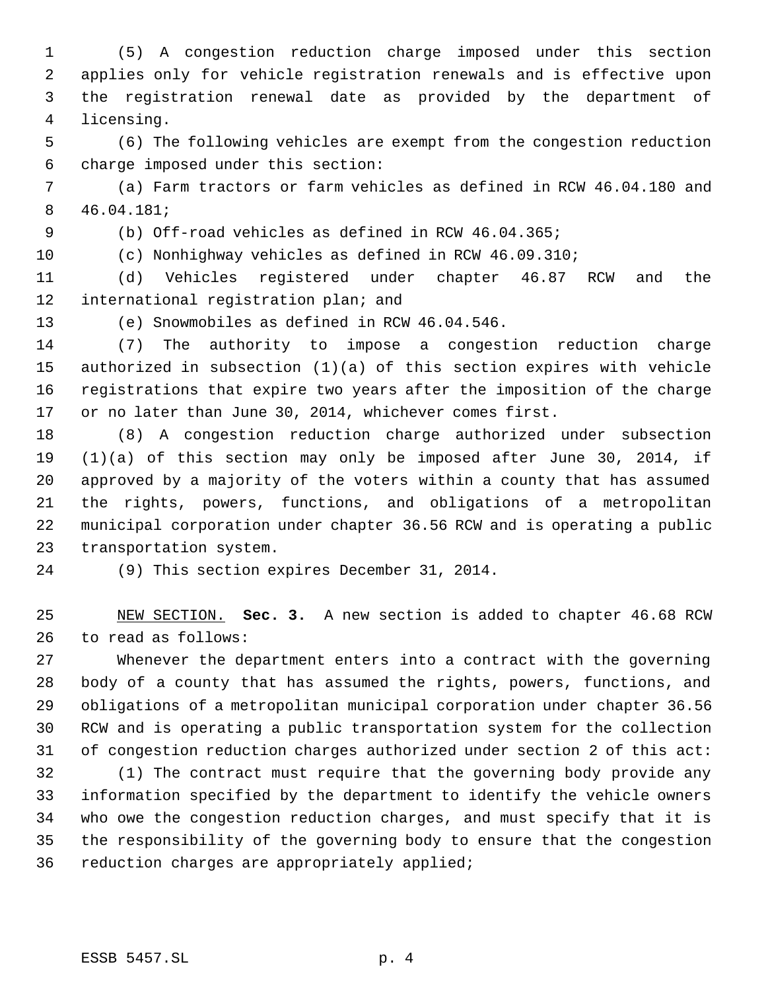(5) A congestion reduction charge imposed under this section applies only for vehicle registration renewals and is effective upon the registration renewal date as provided by the department of licensing.

 (6) The following vehicles are exempt from the congestion reduction charge imposed under this section:

 (a) Farm tractors or farm vehicles as defined in RCW 46.04.180 and 46.04.181;

(b) Off-road vehicles as defined in RCW 46.04.365;

(c) Nonhighway vehicles as defined in RCW 46.09.310;

 (d) Vehicles registered under chapter 46.87 RCW and the international registration plan; and

(e) Snowmobiles as defined in RCW 46.04.546.

 (7) The authority to impose a congestion reduction charge authorized in subsection (1)(a) of this section expires with vehicle registrations that expire two years after the imposition of the charge or no later than June 30, 2014, whichever comes first.

 (8) A congestion reduction charge authorized under subsection (1)(a) of this section may only be imposed after June 30, 2014, if approved by a majority of the voters within a county that has assumed the rights, powers, functions, and obligations of a metropolitan municipal corporation under chapter 36.56 RCW and is operating a public transportation system.

(9) This section expires December 31, 2014.

 NEW SECTION. **Sec. 3.** A new section is added to chapter 46.68 RCW to read as follows:

 Whenever the department enters into a contract with the governing body of a county that has assumed the rights, powers, functions, and obligations of a metropolitan municipal corporation under chapter 36.56 RCW and is operating a public transportation system for the collection of congestion reduction charges authorized under section 2 of this act:

 (1) The contract must require that the governing body provide any information specified by the department to identify the vehicle owners who owe the congestion reduction charges, and must specify that it is the responsibility of the governing body to ensure that the congestion reduction charges are appropriately applied;